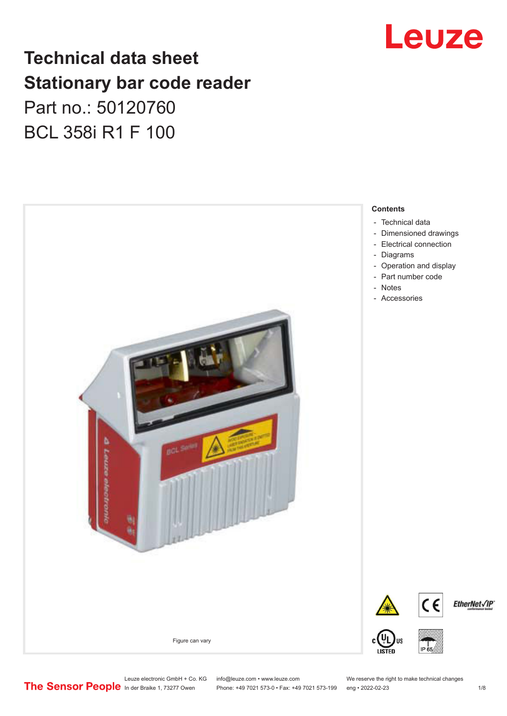## Leuze

## **Technical data sheet Stationary bar code reader** Part no.: 50120760 BCL 358i R1 F 100



Leuze electronic GmbH + Co. KG info@leuze.com • www.leuze.com We reserve the right to make technical changes<br>
The Sensor People in der Braike 1, 73277 Owen Phone: +49 7021 573-0 • Fax: +49 7021 573-199 eng • 2022-02-23

Phone: +49 7021 573-0 • Fax: +49 7021 573-199 eng • 2022-02-23 1 /8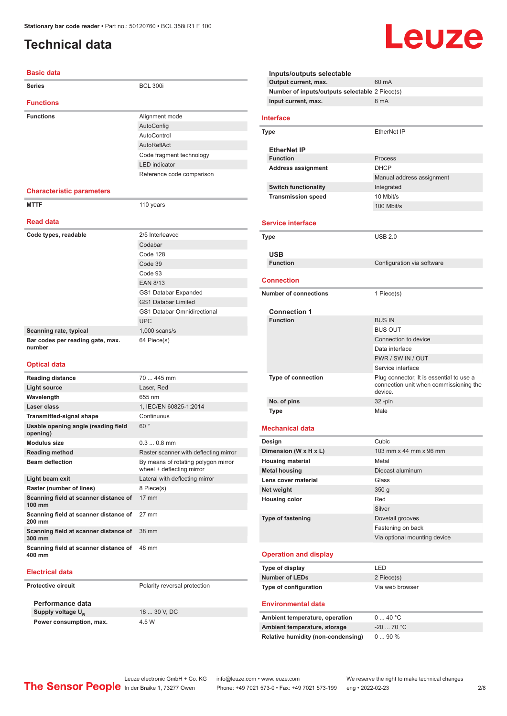#### <span id="page-1-0"></span>**Technical data**

#### **Basic data**

| <b>Series</b>                                   | <b>BCL 300i</b>                                                  |
|-------------------------------------------------|------------------------------------------------------------------|
| <b>Functions</b>                                |                                                                  |
| <b>Functions</b>                                | Alignment mode                                                   |
|                                                 | AutoConfig                                                       |
|                                                 | AutoControl                                                      |
|                                                 | AutoReflAct                                                      |
|                                                 | Code fragment technology                                         |
|                                                 | <b>LED</b> indicator                                             |
|                                                 | Reference code comparison                                        |
| <b>Characteristic parameters</b>                |                                                                  |
| <b>MTTF</b>                                     | 110 years                                                        |
| <b>Read data</b>                                |                                                                  |
| Code types, readable                            | 2/5 Interleaved                                                  |
|                                                 | Codabar                                                          |
|                                                 | Code 128                                                         |
|                                                 | Code 39                                                          |
|                                                 | Code 93                                                          |
|                                                 | <b>EAN 8/13</b>                                                  |
|                                                 | GS1 Databar Expanded                                             |
|                                                 | <b>GS1 Databar Limited</b>                                       |
|                                                 | <b>GS1 Databar Omnidirectional</b>                               |
|                                                 | <b>UPC</b>                                                       |
| Scanning rate, typical                          | $1,000$ scans/s                                                  |
| Bar codes per reading gate, max.<br>number      | 64 Piece(s)                                                      |
| <b>Optical data</b>                             |                                                                  |
| <b>Reading distance</b>                         | $70445$ mm                                                       |
| <b>Light source</b>                             | Laser, Red                                                       |
| Wavelength                                      | 655 nm                                                           |
| Laser class                                     | 1, IEC/EN 60825-1:2014                                           |
| <b>Transmitted-signal shape</b>                 | Continuous                                                       |
| Usable opening angle (reading field<br>opening) | 60°                                                              |
| <b>Modulus size</b>                             | $0.30.8$ mm                                                      |
| <b>Reading method</b>                           | Raster scanner with deflecting mirror                            |
| <b>Beam deflection</b>                          | By means of rotating polygon mirror<br>wheel + deflecting mirror |
| Light hoom ovit                                 | I ateral with deflecting mirror                                  |

| <b>ILCANING INCHIVAL</b>                                     | Rester Scanner With achecung i                              |
|--------------------------------------------------------------|-------------------------------------------------------------|
| <b>Beam deflection</b>                                       | By means of rotating polygon m<br>wheel + deflecting mirror |
| Light beam exit                                              | Lateral with deflecting mirror                              |
| Raster (number of lines)                                     | 8 Piece(s)                                                  |
| Scanning field at scanner distance of<br>100 mm              | $17 \text{ mm}$                                             |
| <b>Scanning field at scanner distance of</b> 27 mm<br>200 mm |                                                             |
| Scanning field at scanner distance of 38 mm<br>300 mm        |                                                             |
| Scanning field at scanner distance of 48 mm<br>400 mm        |                                                             |
|                                                              |                                                             |

#### **Electrical data**

**Protective circuit** Polarity reversal protection

**Performance data Supply voltage U<sub>B</sub> Power consumption, max.** 4.5 W

18 ... 30 V, DC

|                   | Inputs/outputs selectable                      |                                                   |
|-------------------|------------------------------------------------|---------------------------------------------------|
|                   | Output current, max.                           | 60 mA                                             |
|                   | Number of inputs/outputs selectable 2 Piece(s) |                                                   |
|                   | Input current, max.                            | 8 mA                                              |
|                   | Interface                                      |                                                   |
|                   | Type                                           | EtherNet IP                                       |
|                   | <b>EtherNet IP</b>                             |                                                   |
|                   | <b>Function</b>                                | Process                                           |
|                   | Address assignment                             | <b>DHCP</b>                                       |
|                   |                                                | Manual address assignment                         |
|                   | <b>Switch functionality</b>                    | Integrated                                        |
|                   | <b>Transmission speed</b>                      | 10 Mbit/s                                         |
|                   |                                                | 100 Mbit/s                                        |
|                   |                                                |                                                   |
|                   | <b>Service interface</b>                       |                                                   |
|                   | Type                                           | <b>USB 2.0</b>                                    |
|                   |                                                |                                                   |
|                   | USB                                            |                                                   |
|                   | <b>Function</b>                                | Configuration via software                        |
|                   | Connection                                     |                                                   |
|                   |                                                |                                                   |
|                   | <b>Number of connections</b>                   | 1 Piece(s)                                        |
|                   | <b>Connection 1</b>                            |                                                   |
|                   | <b>Function</b>                                | <b>BUS IN</b>                                     |
|                   |                                                | <b>BUS OUT</b>                                    |
|                   |                                                | Connection to device                              |
|                   |                                                | Data interface                                    |
|                   |                                                | PWR / SW IN / OUT                                 |
|                   |                                                | Service interface                                 |
|                   | <b>Type of connection</b>                      | Plug connector, It is essential to use a          |
|                   |                                                | connection unit when commissioning the<br>device. |
|                   | No. of pins                                    | 32 -pin                                           |
|                   | Type                                           | Male                                              |
|                   |                                                |                                                   |
|                   | <b>Mechanical data</b>                         |                                                   |
|                   | Design                                         | Cubic                                             |
|                   | Dimension (W x H x L)                          | 103 mm x 44 mm x 96 mm                            |
|                   | <b>Housing material</b>                        | Metal                                             |
|                   | <b>Metal housing</b>                           | Diecast aluminum                                  |
|                   | Lens cover material                            | Glass                                             |
|                   | Net weight                                     | 350 <sub>g</sub>                                  |
|                   | <b>Housing color</b>                           | Red                                               |
|                   |                                                | Silver                                            |
| Type of fastening |                                                | Dovetail grooves                                  |
|                   |                                                | Fastening on back                                 |
|                   |                                                | Via optional mounting device                      |
|                   | <b>Operation and display</b>                   |                                                   |
|                   | Type of display                                | LED                                               |
|                   | <b>Number of LEDs</b>                          | 2 Piece(s)                                        |
|                   | Type of configuration                          | Via web browser                                   |
|                   |                                                |                                                   |
|                   | <b>Environmental data</b>                      |                                                   |
|                   | Ambient temperature, operation                 | 040 °C                                            |

Leuze

**Ambient temperature, storage** -20 ... 70 °C **Relative humidity (non-condensing)** 0 ... 90 %

Leuze electronic GmbH + Co. KG info@leuze.com • www.leuze.com We reserve the right to make technical changes<br>
The Sensor People in der Braike 1, 73277 Owen Phone: +49 7021 573-0 • Fax: +49 7021 573-199 eng • 2022-02-23 Phone: +49 7021 573-0 • Fax: +49 7021 573-199 eng • 2022-02-23 2/8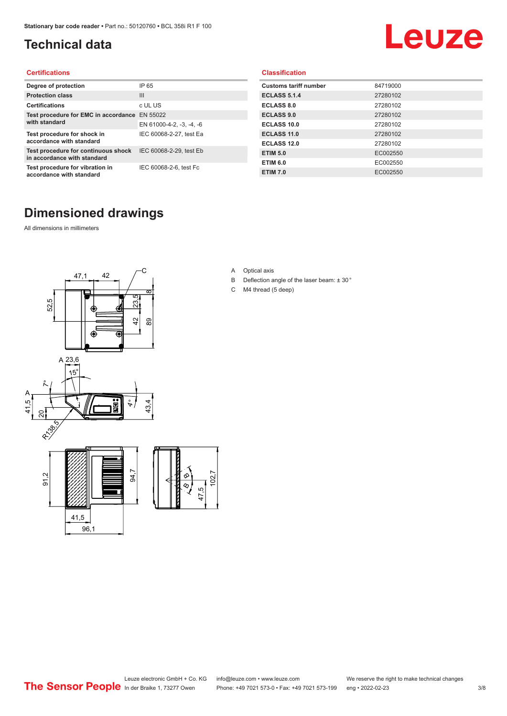### <span id="page-2-0"></span>**Technical data**

# Leuze

#### **Certifications**

| Degree of protection                                               | IP 65                    |
|--------------------------------------------------------------------|--------------------------|
| <b>Protection class</b>                                            | $\mathbf{III}$           |
| <b>Certifications</b>                                              | c UL US                  |
| Test procedure for EMC in accordance                               | EN 55022                 |
| with standard                                                      | EN 61000-4-2, -3, -4, -6 |
| Test procedure for shock in<br>accordance with standard            | IEC 60068-2-27, test Ea  |
| Test procedure for continuous shock<br>in accordance with standard | IEC 60068-2-29, test Eb  |
| Test procedure for vibration in<br>accordance with standard        | IEC 60068-2-6, test Fc   |

#### **Classification**

| <b>Customs tariff number</b> | 84719000 |
|------------------------------|----------|
| <b>ECLASS 5.1.4</b>          | 27280102 |
| <b>ECLASS 8.0</b>            | 27280102 |
| <b>ECLASS 9.0</b>            | 27280102 |
| ECLASS 10.0                  | 27280102 |
| <b>ECLASS 11.0</b>           | 27280102 |
| <b>ECLASS 12.0</b>           | 27280102 |
| <b>ETIM 5.0</b>              | EC002550 |
| <b>ETIM 6.0</b>              | EC002550 |
| <b>ETIM 7.0</b>              | EC002550 |

#### **Dimensioned drawings**

All dimensions in millimeters



- A Optical axis
- B Deflection angle of the laser beam: ± 30 °
- C M4 thread (5 deep)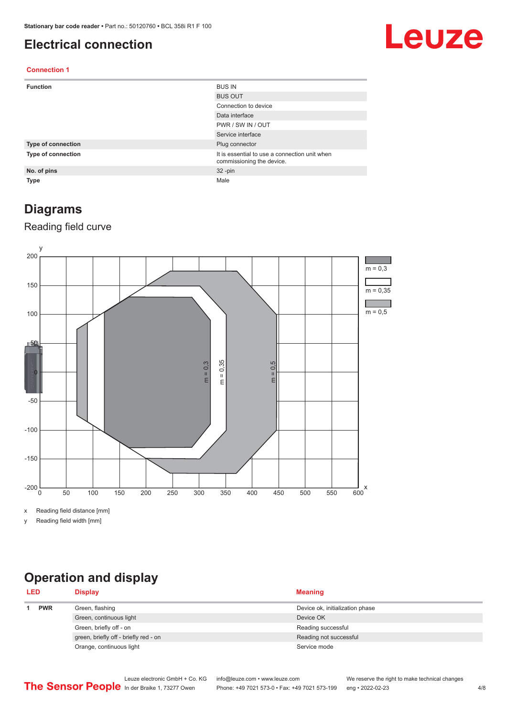#### <span id="page-3-0"></span>**Electrical connection**

## Leuze

#### **Connection 1**

| <b>Function</b>           | <b>BUS IN</b>                                                              |
|---------------------------|----------------------------------------------------------------------------|
|                           | <b>BUS OUT</b>                                                             |
|                           | Connection to device                                                       |
|                           | Data interface                                                             |
|                           | PWR / SW IN / OUT                                                          |
|                           | Service interface                                                          |
| <b>Type of connection</b> | Plug connector                                                             |
| Type of connection        | It is essential to use a connection unit when<br>commissioning the device. |
| No. of pins               | $32 - pin$                                                                 |
| <b>Type</b>               | Male                                                                       |

#### **Diagrams**

#### Reading field curve



x Reading field distance [mm]

y Reading field width [mm]

### **Operation and display**

| <b>LED</b> |            | <b>Display</b>                        | <b>Meaning</b>                  |
|------------|------------|---------------------------------------|---------------------------------|
|            | <b>PWR</b> | Green, flashing                       | Device ok, initialization phase |
|            |            | Green, continuous light               | Device OK                       |
|            |            | Green, briefly off - on               | Reading successful              |
|            |            | green, briefly off - briefly red - on | Reading not successful          |
|            |            | Orange, continuous light              | Service mode                    |
|            |            |                                       |                                 |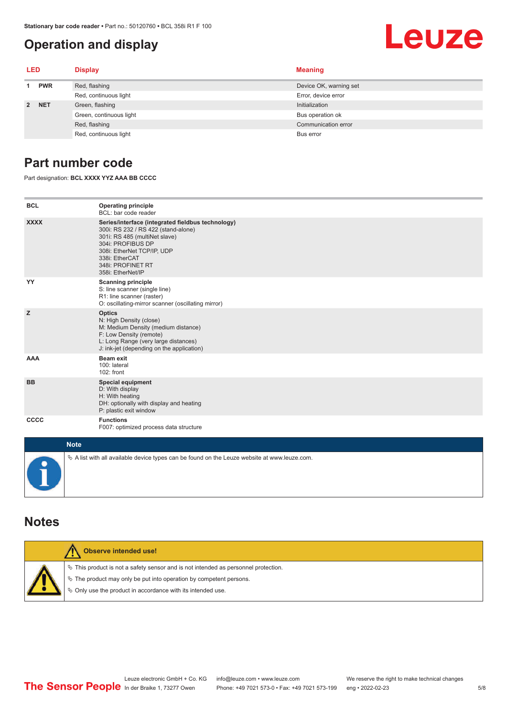#### <span id="page-4-0"></span>**Operation and display**

## Leuze

| LED         |            | <b>Display</b>          | <b>Meaning</b>         |
|-------------|------------|-------------------------|------------------------|
|             | <b>PWR</b> | Red, flashing           | Device OK, warning set |
|             |            | Red, continuous light   | Error, device error    |
| $2^{\circ}$ | <b>NET</b> | Green, flashing         | Initialization         |
|             |            | Green, continuous light | Bus operation ok       |
|             |            | Red, flashing           | Communication error    |
|             |            | Red, continuous light   | Bus error              |

#### **Part number code**

Part designation: **BCL XXXX YYZ AAA BB CCCC**

| <b>BCL</b>          | <b>Operating principle</b><br>BCL: bar code reader                                                                                                                                                                                       |
|---------------------|------------------------------------------------------------------------------------------------------------------------------------------------------------------------------------------------------------------------------------------|
| <b>XXXX</b>         | Series/interface (integrated fieldbus technology)<br>300i: RS 232 / RS 422 (stand-alone)<br>301i: RS 485 (multiNet slave)<br>304i: PROFIBUS DP<br>308i: EtherNet TCP/IP, UDP<br>338i: EtherCAT<br>348i: PROFINET RT<br>358i: EtherNet/IP |
| YY                  | <b>Scanning principle</b><br>S: line scanner (single line)<br>R1: line scanner (raster)<br>O: oscillating-mirror scanner (oscillating mirror)                                                                                            |
| z                   | <b>Optics</b><br>N: High Density (close)<br>M: Medium Density (medium distance)<br>F: Low Density (remote)<br>L: Long Range (very large distances)<br>J: ink-jet (depending on the application)                                          |
| <b>AAA</b>          | <b>Beam exit</b><br>100: lateral<br>102: front                                                                                                                                                                                           |
| <b>BB</b>           | <b>Special equipment</b><br>D: With display<br>H: With heating<br>DH: optionally with display and heating<br>P: plastic exit window                                                                                                      |
| CCCC                | <b>Functions</b><br>F007: optimized process data structure                                                                                                                                                                               |
| <b>Sales Street</b> |                                                                                                                                                                                                                                          |

| <b>Note</b>                                                                                       |
|---------------------------------------------------------------------------------------------------|
| Vector A list with all available device types can be found on the Leuze website at www.leuze.com. |

#### **Notes**

| Observe intended use!                                                                                                                                                                                                      |
|----------------------------------------------------------------------------------------------------------------------------------------------------------------------------------------------------------------------------|
| $\%$ This product is not a safety sensor and is not intended as personnel protection.<br>↓ The product may only be put into operation by competent persons.<br>♦ Only use the product in accordance with its intended use. |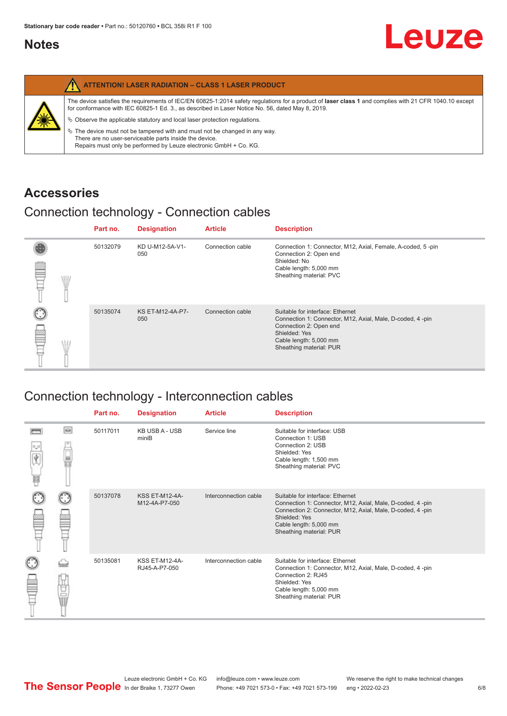#### <span id="page-5-0"></span>**Notes**

| <b>ATTENTION! LASER RADIATION - CLASS 1 LASER PRODUCT</b>                                                                                                                                                                                                                                                                                                                                                                                                                                                                                                   |
|-------------------------------------------------------------------------------------------------------------------------------------------------------------------------------------------------------------------------------------------------------------------------------------------------------------------------------------------------------------------------------------------------------------------------------------------------------------------------------------------------------------------------------------------------------------|
| The device satisfies the requirements of IEC/EN 60825-1:2014 safety requlations for a product of laser class 1 and complies with 21 CFR 1040.10 except<br>for conformance with IEC 60825-1 Ed. 3., as described in Laser Notice No. 56, dated May 8, 2019.<br>$\%$ Observe the applicable statutory and local laser protection regulations.<br>$\%$ The device must not be tampered with and must not be changed in any way.<br>There are no user-serviceable parts inside the device.<br>Repairs must only be performed by Leuze electronic GmbH + Co. KG. |

#### **Accessories**

#### Connection technology - Connection cables

|      | Part no. | <b>Designation</b>      | <b>Article</b>   | <b>Description</b>                                                                                                                                                                            |
|------|----------|-------------------------|------------------|-----------------------------------------------------------------------------------------------------------------------------------------------------------------------------------------------|
| \ll. | 50132079 | KD U-M12-5A-V1-<br>050  | Connection cable | Connection 1: Connector, M12, Axial, Female, A-coded, 5-pin<br>Connection 2: Open end<br>Shielded: No<br>Cable length: 5,000 mm<br>Sheathing material: PVC                                    |
|      | 50135074 | KS ET-M12-4A-P7-<br>050 | Connection cable | Suitable for interface: Ethernet<br>Connection 1: Connector, M12, Axial, Male, D-coded, 4-pin<br>Connection 2: Open end<br>Shielded: Yes<br>Cable length: 5,000 mm<br>Sheathing material: PUR |

### Connection technology - Interconnection cables

|                           |                                                                                                                                                                                                                                | Part no. | <b>Designation</b>                     | <b>Article</b>        | <b>Description</b>                                                                                                                                                                                                               |
|---------------------------|--------------------------------------------------------------------------------------------------------------------------------------------------------------------------------------------------------------------------------|----------|----------------------------------------|-----------------------|----------------------------------------------------------------------------------------------------------------------------------------------------------------------------------------------------------------------------------|
| $\frac{1}{\sqrt{2}}$<br>Ħ | $\Box$                                                                                                                                                                                                                         | 50117011 | <b>KB USB A - USB</b><br>miniB         | Service line          | Suitable for interface: USB<br>Connection 1: USB<br>Connection 2: USB<br>Shielded: Yes<br>Cable length: 1,500 mm<br>Sheathing material: PVC                                                                                      |
|                           |                                                                                                                                                                                                                                | 50137078 | <b>KSS ET-M12-4A-</b><br>M12-4A-P7-050 | Interconnection cable | Suitable for interface: Ethernet<br>Connection 1: Connector, M12, Axial, Male, D-coded, 4-pin<br>Connection 2: Connector, M12, Axial, Male, D-coded, 4-pin<br>Shielded: Yes<br>Cable length: 5,000 mm<br>Sheathing material: PUR |
|                           | the filled the control in the control in the control in the control in the control in the control in the control in the control in the control in the control in the control in the control in the control in the control in t | 50135081 | <b>KSS ET-M12-4A-</b><br>RJ45-A-P7-050 | Interconnection cable | Suitable for interface: Ethernet<br>Connection 1: Connector, M12, Axial, Male, D-coded, 4-pin<br>Connection 2: RJ45<br>Shielded: Yes<br>Cable length: 5,000 mm<br>Sheathing material: PUR                                        |

Leuze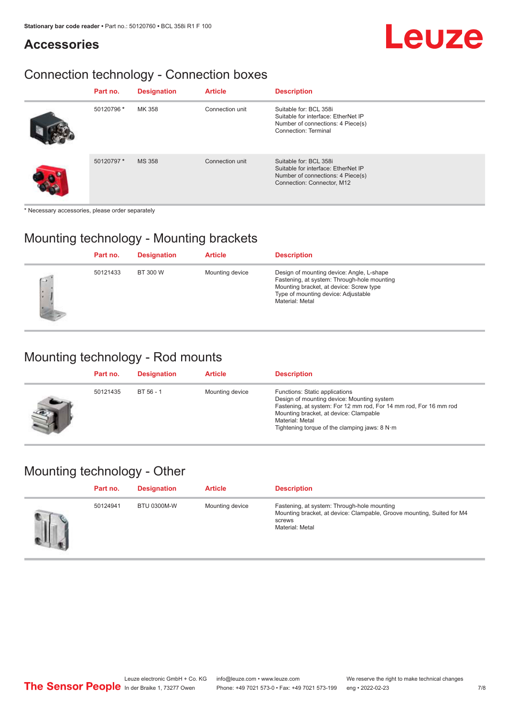#### **Accessories**

### Connection technology - Connection boxes

| Part no.   | <b>Designation</b> | <b>Article</b>  | <b>Description</b>                                                                                                               |
|------------|--------------------|-----------------|----------------------------------------------------------------------------------------------------------------------------------|
| 50120796 * | MK 358             | Connection unit | Suitable for: BCL 358i<br>Suitable for interface: EtherNet IP<br>Number of connections: 4 Piece(s)<br>Connection: Terminal       |
| 50120797*  | <b>MS 358</b>      | Connection unit | Suitable for: BCL 358i<br>Suitable for interface: EtherNet IP<br>Number of connections: 4 Piece(s)<br>Connection: Connector, M12 |

\* Necessary accessories, please order separately

#### Mounting technology - Mounting brackets

|        | Part no. | <b>Designation</b> | <b>Article</b>  | <b>Description</b>                                                                                                                                                                            |
|--------|----------|--------------------|-----------------|-----------------------------------------------------------------------------------------------------------------------------------------------------------------------------------------------|
| $\sim$ | 50121433 | BT 300 W           | Mounting device | Design of mounting device: Angle, L-shape<br>Fastening, at system: Through-hole mounting<br>Mounting bracket, at device: Screw type<br>Type of mounting device: Adjustable<br>Material: Metal |

#### Mounting technology - Rod mounts

| Part no. | <b>Designation</b> | <b>Article</b>  | <b>Description</b>                                                                                                                                                                                                                                                |
|----------|--------------------|-----------------|-------------------------------------------------------------------------------------------------------------------------------------------------------------------------------------------------------------------------------------------------------------------|
| 50121435 | BT 56 - 1          | Mounting device | Functions: Static applications<br>Design of mounting device: Mounting system<br>Fastening, at system: For 12 mm rod, For 14 mm rod, For 16 mm rod<br>Mounting bracket, at device: Clampable<br>Material: Metal<br>Tightening torque of the clamping jaws: $8 N·m$ |

#### Mounting technology - Other

| Part no. | <b>Designation</b> | <b>Article</b>  | <b>Description</b>                                                                                                                                 |
|----------|--------------------|-----------------|----------------------------------------------------------------------------------------------------------------------------------------------------|
| 50124941 | <b>BTU 0300M-W</b> | Mounting device | Fastening, at system: Through-hole mounting<br>Mounting bracket, at device: Clampable, Groove mounting, Suited for M4<br>screws<br>Material: Metal |

Leuze